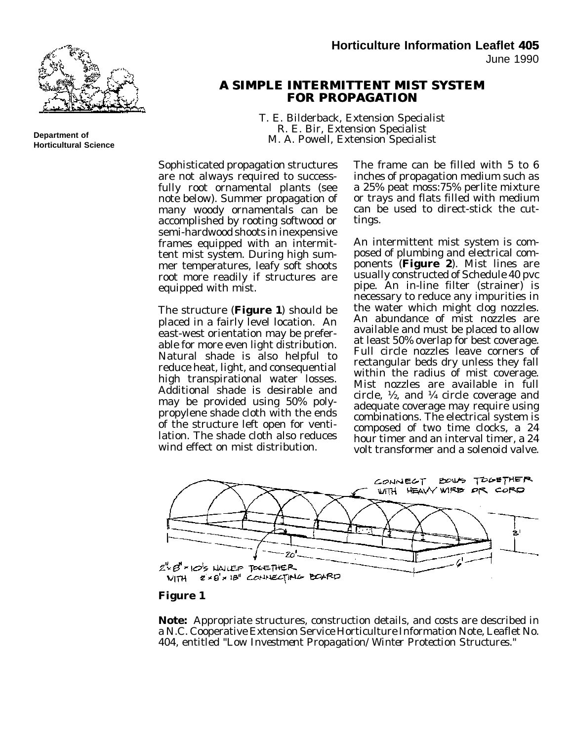

**Department of Horticultural Science**

## **A SIMPLE A SIMPLE INTERMITTENT INTERMITTENT MIST SYSTEM FOR PROPAGATION FOR**

T. E. Bilderback, Extension Specialist R. E. Bir, Extension Specialist M. A. Powell, Extension Specialist

Sophisticated propagation structures are not always required to successfully root ornamental plants (see note below). Summer propagation of many woody ornamentals can be accomplished by rooting softwood or semi-hardwood shoots in inexpensive frames equipped with an intermittent mist system. During high summer temperatures, leafy soft shoots root more readily if structures are equipped with mist.

The structure (**Figure 1**) should be placed in a fairly level location. An east-west orientation may be preferable for more even light distribution. Natural shade is also helpful to reduce heat, light, and consequential high transpirational water losses. Additional shade is desirable and may be provided using 50% polypropylene shade cloth with the ends of the structure left open for ventilation. The shade cloth also reduces wind effect on mist distribution.

The frame can be filled with 5 to 6 inches of propagation medium such as a 25% peat moss:75% perlite mixture or trays and flats filled with medium can be used to direct-stick the cuttings.

An intermittent mist system is composed of plumbing and electrical components (**Figure 2**). Mist lines are usually constructed of Schedule 40 pvc pipe. An in-line filter (strainer) is necessary to reduce any impurities in the water which might clog nozzles. An abundance of mist nozzles are available and must be placed to allow at least 50% overlap for best coverage. Full circle nozzles leave corners of rectangular beds dry unless they fall within the radius of mist coverage. Mist nozzles are available in full circle, ½, and ¼ circle coverage and adequate coverage may require using combinations. The electrical system is composed of two time clocks, a 24 hour timer and an interval timer, a 24 volt transformer and a solenoid valve.



## **Figure 1**

**Note:** Appropriate structures, construction details, and costs are described in a N.C. Cooperative Extension Service Horticulture Information Note, Leaflet No. 404, entitled "*Low Investment Propagation/Winter Protection Structures*."